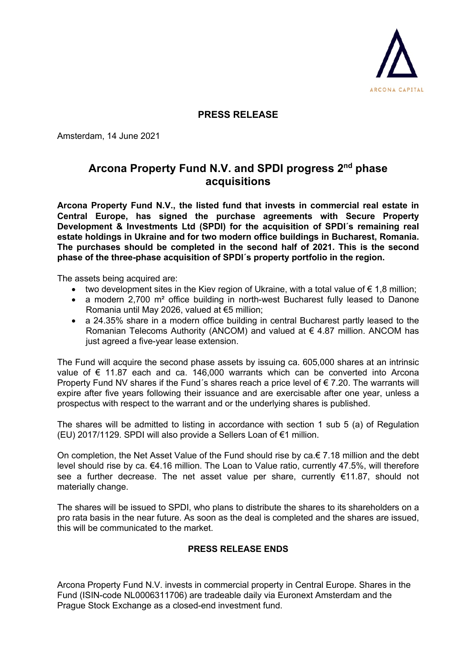

## **PRESS RELEASE**

Amsterdam, 14 June 2021

## **Arcona Property Fund N.V. and SPDI progress 2nd phase acquisitions**

**Arcona Property Fund N.V., the listed fund that invests in commercial real estate in Central Europe, has signed the purchase agreements with Secure Property Development & Investments Ltd (SPDI) for the acquisition of SPDI´s remaining real estate holdings in Ukraine and for two modern office buildings in Bucharest, Romania. The purchases should be completed in the second half of 2021. This is the second phase of the three-phase acquisition of SPDI´s property portfolio in the region.**

The assets being acquired are:

- two development sites in the Kiev region of Ukraine, with a total value of  $\epsilon$  1,8 million;
- a modern 2,700 m<sup>2</sup> office building in north-west Bucharest fully leased to Danone Romania until May 2026, valued at €5 million;
- a 24.35% share in a modern office building in central Bucharest partly leased to the Romanian Telecoms Authority (ANCOM) and valued at € 4.87 million. ANCOM has just agreed a five-year lease extension.

The Fund will acquire the second phase assets by issuing ca. 605,000 shares at an intrinsic value of € 11.87 each and ca. 146,000 warrants which can be converted into Arcona Property Fund NV shares if the Fund´s shares reach a price level of € 7.20. The warrants will expire after five years following their issuance and are exercisable after one year, unless a prospectus with respect to the warrant and or the underlying shares is published.

The shares will be admitted to listing in accordance with section 1 sub 5 (a) of Regulation (EU) 2017/1129. SPDI will also provide a Sellers Loan of €1 million.

On completion, the Net Asset Value of the Fund should rise by ca.€ 7.18 million and the debt level should rise by ca. €4.16 million. The Loan to Value ratio, currently 47.5%, will therefore see a further decrease. The net asset value per share, currently €11.87, should not materially change.

The shares will be issued to SPDI, who plans to distribute the shares to its shareholders on a pro rata basis in the near future. As soon as the deal is completed and the shares are issued, this will be communicated to the market.

## **PRESS RELEASE ENDS**

Arcona Property Fund N.V. invests in commercial property in Central Europe. Shares in the Fund (ISIN-code NL0006311706) are tradeable daily via Euronext Amsterdam and the Prague Stock Exchange as a closed-end investment fund.